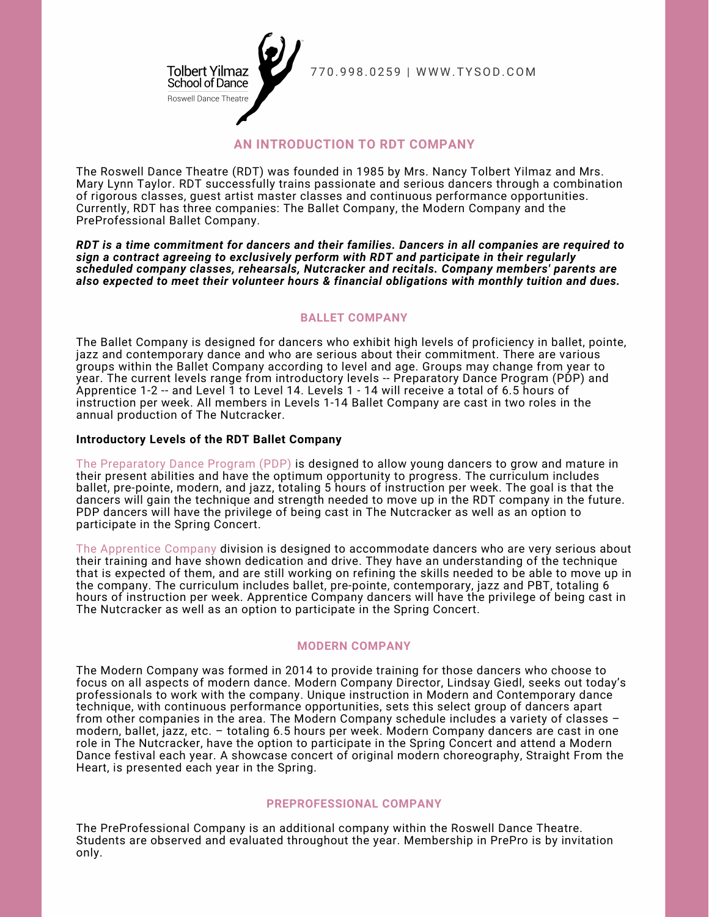

7 7 0 . 9 9 8 . 0 2 5 9 | W W W . T Y SOD.CO M

# **AN INTRODUCTION TO RDT COMPANY**

The Roswell Dance Theatre (RDT) was founded in 1985 by Mrs. Nancy Tolbert Yilmaz and Mrs. Mary Lynn Taylor. RDT successfully trains passionate and serious dancers through a combination of rigorous classes, guest artist master classes and continuous performance opportunities. Currently, RDT has three companies: The Ballet Company, the Modern Company and the PreProfessional Ballet Company.

*RDT is a time commitment for dancers and their families. Dancers in all companies are required to sign a contract agreeing to exclusively perform with RDT and participate in their regularly scheduled company classes, rehearsals, Nutcracker and recitals. Company members' parents are also expected to meet their volunteer hours & financial obligations with monthly tuition and dues.*

### **BALLET COMPANY**

The Ballet Company is designed for dancers who exhibit high levels of proficiency in ballet, pointe, jazz and contemporary dance and who are serious about their commitment. There are various groups within the Ballet Company according to level and age. Groups may change from year to year. The current levels range from introductory levels -- Preparatory Dance Program (PDP) and Apprentice 1-2 -- and Level 1 to Level 14. Levels 1 - 14 will receive a total of 6.5 hours of instruction per week. All members in Levels 1-14 Ballet Company are cast in two roles in the annual production of The Nutcracker.

#### **Introductory Levels of the RDT Ballet Company**

The Preparatory Dance Program (PDP) is designed to allow young dancers to grow and mature in their present abilities and have the optimum opportunity to progress. The curriculum includes ballet, pre-pointe, modern, and jazz, totaling 5 hours of instruction per week. The goal is that the dancers will gain the technique and strength needed to move up in the RDT company in the future. PDP dancers will have the privilege of being cast in The Nutcracker as well as an option to participate in the Spring Concert.

The Apprentice Company division is designed to accommodate dancers who are very serious about their training and have shown dedication and drive. They have an understanding of the technique that is expected of them, and are still working on refining the skills needed to be able to move up in the company. The curriculum includes ballet, pre-pointe, contemporary, jazz and PBT, totaling 6 hours of instruction per week. Apprentice Company dancers will have the privilege of being cast in The Nutcracker as well as an option to participate in the Spring Concert.

#### **MODERN COMPANY**

The Modern Company was formed in 2014 to provide training for those dancers who choose to focus on all aspects of modern dance. Modern Company Director, Lindsay Giedl, seeks out today's professionals to work with the company. Unique instruction in Modern and Contemporary dance technique, with continuous performance opportunities, sets this select group of dancers apart from other companies in the area. The Modern Company schedule includes a variety of classes – modern, ballet, jazz, etc. – totaling 6.5 hours per week. Modern Company dancers are cast in one role in The Nutcracker, have the option to participate in the Spring Concert and attend a Modern Dance festival each year. A showcase concert of original modern choreography, Straight From the Heart, is presented each year in the Spring.

#### **PREPROFESSIONAL COMPANY**

The PreProfessional Company is an additional company within the Roswell Dance Theatre. Students are observed and evaluated throughout the year. Membership in PrePro is by invitation only.